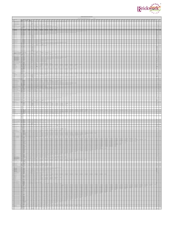

 $\overline{a}$ 

| Finance, MCD, Portraite, Installation<br>Senting Marina, CP, CO, and Joseph Lincoln |                          |    |       |  |       |      |      |               |                          |                 |                                                                                                |   |        |                          |  |   |  |   |  |       |  |  |  |                                                                                                                                                                                      |
|-------------------------------------------------------------------------------------|--------------------------|----|-------|--|-------|------|------|---------------|--------------------------|-----------------|------------------------------------------------------------------------------------------------|---|--------|--------------------------|--|---|--|---|--|-------|--|--|--|--------------------------------------------------------------------------------------------------------------------------------------------------------------------------------------|
|                                                                                     |                          |    |       |  |       |      |      |               |                          |                 |                                                                                                |   |        |                          |  |   |  |   |  |       |  |  |  |                                                                                                                                                                                      |
|                                                                                     |                          |    |       |  |       |      |      |               |                          |                 |                                                                                                |   |        |                          |  |   |  |   |  |       |  |  |  |                                                                                                                                                                                      |
|                                                                                     |                          |    |       |  |       |      |      |               |                          |                 |                                                                                                |   |        |                          |  |   |  |   |  |       |  |  |  |                                                                                                                                                                                      |
|                                                                                     |                          |    |       |  |       |      |      |               |                          |                 |                                                                                                |   |        |                          |  |   |  |   |  |       |  |  |  |                                                                                                                                                                                      |
|                                                                                     |                          |    |       |  |       |      |      |               |                          |                 |                                                                                                |   |        |                          |  |   |  |   |  |       |  |  |  |                                                                                                                                                                                      |
|                                                                                     |                          |    |       |  |       |      |      |               |                          |                 |                                                                                                |   |        |                          |  |   |  |   |  |       |  |  |  |                                                                                                                                                                                      |
|                                                                                     |                          |    |       |  |       |      |      |               |                          |                 |                                                                                                |   |        |                          |  |   |  |   |  |       |  |  |  |                                                                                                                                                                                      |
|                                                                                     |                          |    |       |  |       |      |      |               |                          |                 |                                                                                                |   |        |                          |  |   |  |   |  |       |  |  |  |                                                                                                                                                                                      |
|                                                                                     |                          |    |       |  |       |      |      |               |                          |                 |                                                                                                |   |        |                          |  |   |  |   |  |       |  |  |  |                                                                                                                                                                                      |
|                                                                                     |                          |    |       |  |       |      |      |               |                          |                 |                                                                                                |   |        |                          |  |   |  |   |  |       |  |  |  |                                                                                                                                                                                      |
|                                                                                     |                          |    |       |  |       |      |      |               |                          |                 |                                                                                                |   |        |                          |  |   |  |   |  |       |  |  |  |                                                                                                                                                                                      |
|                                                                                     |                          |    |       |  |       |      |      |               |                          |                 |                                                                                                |   |        |                          |  |   |  |   |  |       |  |  |  |                                                                                                                                                                                      |
|                                                                                     |                          |    |       |  |       |      |      |               |                          |                 |                                                                                                |   |        |                          |  |   |  |   |  |       |  |  |  |                                                                                                                                                                                      |
|                                                                                     |                          |    |       |  |       |      |      |               |                          |                 |                                                                                                |   |        |                          |  |   |  |   |  |       |  |  |  |                                                                                                                                                                                      |
|                                                                                     |                          |    |       |  |       |      |      |               |                          |                 |                                                                                                |   |        |                          |  |   |  |   |  |       |  |  |  |                                                                                                                                                                                      |
|                                                                                     |                          |    |       |  |       |      |      |               |                          |                 |                                                                                                |   |        |                          |  |   |  |   |  |       |  |  |  |                                                                                                                                                                                      |
|                                                                                     |                          |    |       |  |       |      |      |               |                          |                 |                                                                                                |   |        |                          |  |   |  |   |  |       |  |  |  |                                                                                                                                                                                      |
|                                                                                     |                          |    |       |  |       |      |      |               |                          |                 |                                                                                                |   |        |                          |  |   |  |   |  |       |  |  |  |                                                                                                                                                                                      |
|                                                                                     |                          |    |       |  |       |      |      |               |                          |                 |                                                                                                |   |        |                          |  |   |  |   |  |       |  |  |  |                                                                                                                                                                                      |
|                                                                                     |                          |    |       |  |       |      |      |               |                          |                 |                                                                                                |   |        |                          |  |   |  |   |  |       |  |  |  |                                                                                                                                                                                      |
|                                                                                     |                          |    |       |  |       |      |      |               |                          |                 |                                                                                                |   |        |                          |  |   |  |   |  |       |  |  |  |                                                                                                                                                                                      |
|                                                                                     |                          |    |       |  |       |      |      |               |                          |                 |                                                                                                |   |        |                          |  |   |  |   |  |       |  |  |  |                                                                                                                                                                                      |
|                                                                                     |                          |    |       |  |       |      |      |               |                          |                 |                                                                                                |   |        |                          |  |   |  |   |  |       |  |  |  |                                                                                                                                                                                      |
|                                                                                     |                          |    |       |  |       |      |      |               |                          |                 |                                                                                                |   |        |                          |  |   |  |   |  |       |  |  |  |                                                                                                                                                                                      |
|                                                                                     |                          |    |       |  |       |      |      |               |                          |                 |                                                                                                |   |        |                          |  |   |  |   |  |       |  |  |  |                                                                                                                                                                                      |
|                                                                                     |                          |    |       |  |       |      |      |               |                          |                 |                                                                                                |   |        |                          |  |   |  |   |  |       |  |  |  |                                                                                                                                                                                      |
|                                                                                     |                          |    |       |  |       |      |      |               |                          |                 |                                                                                                |   |        |                          |  |   |  |   |  |       |  |  |  |                                                                                                                                                                                      |
|                                                                                     |                          |    |       |  |       |      |      |               |                          |                 |                                                                                                |   |        |                          |  |   |  |   |  |       |  |  |  |                                                                                                                                                                                      |
|                                                                                     |                          |    |       |  |       |      |      |               |                          |                 |                                                                                                |   |        |                          |  |   |  |   |  |       |  |  |  |                                                                                                                                                                                      |
|                                                                                     |                          |    |       |  |       |      |      |               |                          |                 |                                                                                                |   |        |                          |  |   |  |   |  |       |  |  |  |                                                                                                                                                                                      |
|                                                                                     |                          |    |       |  |       |      |      |               |                          |                 |                                                                                                |   |        |                          |  |   |  |   |  |       |  |  |  |                                                                                                                                                                                      |
|                                                                                     |                          |    |       |  |       |      |      |               |                          |                 |                                                                                                |   |        |                          |  |   |  |   |  |       |  |  |  |                                                                                                                                                                                      |
|                                                                                     |                          |    |       |  |       |      |      |               |                          |                 |                                                                                                |   |        |                          |  |   |  |   |  |       |  |  |  |                                                                                                                                                                                      |
|                                                                                     |                          |    |       |  |       |      |      |               |                          |                 |                                                                                                |   |        |                          |  |   |  |   |  |       |  |  |  |                                                                                                                                                                                      |
|                                                                                     |                          |    |       |  |       |      |      |               |                          |                 |                                                                                                |   |        |                          |  |   |  |   |  |       |  |  |  |                                                                                                                                                                                      |
|                                                                                     |                          |    |       |  |       |      |      |               |                          |                 |                                                                                                |   |        |                          |  |   |  |   |  |       |  |  |  |                                                                                                                                                                                      |
|                                                                                     |                          |    |       |  |       |      |      |               |                          |                 |                                                                                                |   |        |                          |  |   |  |   |  |       |  |  |  |                                                                                                                                                                                      |
|                                                                                     |                          |    |       |  |       |      |      |               |                          |                 |                                                                                                |   |        |                          |  |   |  |   |  |       |  |  |  |                                                                                                                                                                                      |
|                                                                                     |                          |    |       |  |       |      |      |               |                          |                 |                                                                                                |   |        |                          |  |   |  |   |  |       |  |  |  |                                                                                                                                                                                      |
|                                                                                     |                          |    |       |  |       |      |      |               |                          |                 |                                                                                                |   |        |                          |  |   |  |   |  |       |  |  |  |                                                                                                                                                                                      |
|                                                                                     |                          |    |       |  |       |      |      |               |                          |                 |                                                                                                |   |        |                          |  |   |  |   |  |       |  |  |  |                                                                                                                                                                                      |
|                                                                                     |                          |    |       |  |       |      |      |               |                          |                 |                                                                                                |   |        |                          |  |   |  |   |  |       |  |  |  |                                                                                                                                                                                      |
|                                                                                     |                          |    |       |  |       |      |      |               |                          |                 |                                                                                                |   |        |                          |  |   |  |   |  |       |  |  |  |                                                                                                                                                                                      |
|                                                                                     |                          |    |       |  |       |      |      |               |                          |                 |                                                                                                |   |        |                          |  |   |  |   |  |       |  |  |  |                                                                                                                                                                                      |
|                                                                                     |                          |    |       |  |       |      |      |               |                          |                 |                                                                                                |   |        |                          |  |   |  |   |  |       |  |  |  |                                                                                                                                                                                      |
|                                                                                     |                          |    |       |  |       |      |      |               |                          |                 |                                                                                                |   |        |                          |  |   |  |   |  |       |  |  |  |                                                                                                                                                                                      |
|                                                                                     |                          |    |       |  |       |      |      |               |                          |                 |                                                                                                |   |        |                          |  |   |  |   |  |       |  |  |  |                                                                                                                                                                                      |
|                                                                                     |                          |    |       |  |       |      |      |               |                          |                 |                                                                                                |   |        |                          |  |   |  |   |  |       |  |  |  |                                                                                                                                                                                      |
|                                                                                     |                          |    |       |  |       |      |      |               |                          |                 |                                                                                                |   |        |                          |  |   |  |   |  |       |  |  |  |                                                                                                                                                                                      |
|                                                                                     |                          |    |       |  |       |      |      |               |                          |                 |                                                                                                |   |        |                          |  |   |  |   |  |       |  |  |  |                                                                                                                                                                                      |
|                                                                                     |                          |    |       |  |       |      |      |               |                          |                 |                                                                                                |   |        |                          |  |   |  |   |  |       |  |  |  |                                                                                                                                                                                      |
|                                                                                     |                          |    |       |  |       |      |      |               |                          |                 |                                                                                                |   |        |                          |  |   |  |   |  |       |  |  |  |                                                                                                                                                                                      |
|                                                                                     |                          |    |       |  |       |      |      |               |                          |                 |                                                                                                |   |        |                          |  |   |  |   |  |       |  |  |  |                                                                                                                                                                                      |
|                                                                                     |                          |    |       |  |       |      |      |               |                          |                 |                                                                                                |   |        |                          |  |   |  |   |  |       |  |  |  |                                                                                                                                                                                      |
|                                                                                     |                          |    |       |  |       |      |      |               |                          |                 |                                                                                                |   |        |                          |  |   |  |   |  |       |  |  |  |                                                                                                                                                                                      |
|                                                                                     |                          |    |       |  |       |      |      |               |                          |                 | <b>THE REAL</b>                                                                                |   |        |                          |  |   |  |   |  |       |  |  |  |                                                                                                                                                                                      |
|                                                                                     |                          |    |       |  |       |      |      | <u>- 13</u>   |                          | - - - - - - - - | <b>The Second Second</b>                                                                       |   |        |                          |  |   |  |   |  |       |  |  |  | askat in                                                                                                                                                                             |
|                                                                                     |                          |    |       |  |       |      |      |               |                          |                 |                                                                                                |   |        |                          |  |   |  |   |  |       |  |  |  |                                                                                                                                                                                      |
|                                                                                     |                          |    |       |  |       |      |      |               |                          |                 |                                                                                                |   |        |                          |  |   |  |   |  |       |  |  |  |                                                                                                                                                                                      |
|                                                                                     |                          |    |       |  |       |      |      |               |                          |                 |                                                                                                |   |        |                          |  |   |  |   |  |       |  |  |  |                                                                                                                                                                                      |
|                                                                                     |                          |    |       |  |       |      |      |               |                          |                 |                                                                                                |   |        |                          |  |   |  |   |  |       |  |  |  |                                                                                                                                                                                      |
| arka<br>matsa Non<br>ritus Parlamen                                                 |                          | F  |       |  |       |      |      |               |                          |                 |                                                                                                |   |        |                          |  |   |  |   |  |       |  |  |  |                                                                                                                                                                                      |
|                                                                                     |                          |    |       |  |       |      |      |               |                          |                 |                                                                                                |   |        |                          |  |   |  |   |  |       |  |  |  |                                                                                                                                                                                      |
|                                                                                     |                          |    |       |  |       |      |      |               |                          |                 |                                                                                                |   |        |                          |  |   |  |   |  |       |  |  |  | --                                                                                                                                                                                   |
|                                                                                     | - <del>1999 - 1999</del> |    |       |  |       |      |      |               |                          |                 |                                                                                                |   |        |                          |  |   |  |   |  |       |  |  |  |                                                                                                                                                                                      |
|                                                                                     |                          |    |       |  |       |      |      |               |                          |                 |                                                                                                |   |        |                          |  |   |  |   |  |       |  |  |  |                                                                                                                                                                                      |
|                                                                                     |                          |    |       |  |       |      |      |               |                          |                 |                                                                                                |   |        |                          |  |   |  |   |  |       |  |  |  |                                                                                                                                                                                      |
|                                                                                     |                          |    |       |  |       |      |      |               |                          |                 |                                                                                                |   |        |                          |  |   |  |   |  |       |  |  |  |                                                                                                                                                                                      |
|                                                                                     |                          |    |       |  |       |      |      |               |                          |                 |                                                                                                |   |        |                          |  |   |  |   |  | $\pm$ |  |  |  |                                                                                                                                                                                      |
|                                                                                     |                          |    |       |  | $\pm$ |      |      |               |                          |                 |                                                                                                |   |        |                          |  |   |  |   |  |       |  |  |  |                                                                                                                                                                                      |
|                                                                                     |                          |    |       |  |       |      |      |               |                          |                 |                                                                                                |   |        |                          |  |   |  |   |  |       |  |  |  |                                                                                                                                                                                      |
|                                                                                     |                          |    |       |  |       |      |      |               |                          |                 |                                                                                                |   |        |                          |  |   |  |   |  |       |  |  |  |                                                                                                                                                                                      |
|                                                                                     |                          |    |       |  |       |      |      |               | E                        |                 | Ē                                                                                              |   |        |                          |  |   |  |   |  |       |  |  |  | $\frac{1}{2}$                                                                                                                                                                        |
|                                                                                     |                          |    |       |  |       |      |      |               |                          |                 |                                                                                                |   | Ē<br>ī |                          |  | ┯ |  | Ī |  |       |  |  |  |                                                                                                                                                                                      |
|                                                                                     | ī                        | -- | --- p |  |       | ____ | – ⊤– |               | $\overline{\phantom{a}}$ | Ŧ               | ┯                                                                                              | i | ╶      | T                        |  |   |  |   |  |       |  |  |  | E                                                                                                                                                                                    |
|                                                                                     |                          |    |       |  |       |      |      |               |                          |                 | , cores en estado de la corea<br>1940 - Carlos de Anton (mario)<br>1940 - Carlos Mario (mario) |   |        | $\overline{\phantom{a}}$ |  | + |  |   |  |       |  |  |  |                                                                                                                                                                                      |
|                                                                                     |                          |    |       |  |       |      |      |               |                          |                 |                                                                                                |   |        |                          |  |   |  |   |  |       |  |  |  |                                                                                                                                                                                      |
|                                                                                     |                          |    |       |  |       |      |      | $\frac{1}{1}$ |                          | $\equiv$        |                                                                                                |   |        |                          |  |   |  |   |  |       |  |  |  |                                                                                                                                                                                      |
|                                                                                     |                          |    |       |  |       |      |      |               |                          |                 |                                                                                                |   |        |                          |  |   |  |   |  |       |  |  |  |                                                                                                                                                                                      |
|                                                                                     |                          |    |       |  |       |      |      |               |                          |                 |                                                                                                |   |        |                          |  |   |  |   |  |       |  |  |  |                                                                                                                                                                                      |
|                                                                                     |                          |    |       |  |       |      |      |               |                          |                 |                                                                                                |   |        |                          |  |   |  |   |  |       |  |  |  |                                                                                                                                                                                      |
|                                                                                     |                          |    |       |  |       |      |      |               |                          |                 |                                                                                                |   |        |                          |  |   |  |   |  |       |  |  |  | E                                                                                                                                                                                    |
| E                                                                                   |                          |    |       |  |       |      |      |               |                          |                 |                                                                                                |   |        |                          |  |   |  |   |  |       |  |  |  | $\frac{\partial \mathbf{u}(\mathbf{x},\mathbf{y})}{\partial \mathbf{u}(\mathbf{x},\mathbf{y})} = \frac{\partial \mathbf{u}(\mathbf{x},\mathbf{y})}{\partial \mathbf{u}(\mathbf{x})}$ |
|                                                                                     |                          |    |       |  |       |      |      |               |                          |                 |                                                                                                |   |        |                          |  |   |  |   |  |       |  |  |  |                                                                                                                                                                                      |

**BRICKWORK RATINGS INDIA PRIVATE LIMITED, BANGLORE**

 $\Gamma$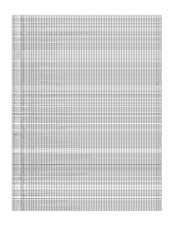|  | E                                         |                          |   | $\begin{tabular}{ c c c c } \hline \multicolumn{1}{ c }{\multicolumn{1}{ c }{\multicolumn{1}{ c }{\multicolumn{1}{ c }{\multicolumn{1}{ c }{\multicolumn{1}{ c }{\multicolumn{1}{ c }{\multicolumn{1}{c }{\multicolumn{1}{c }{\multicolumn{1}{c }{\multicolumn{1}{c }{\multicolumn{1}{c }{\multicolumn{1}{c }{\multicolumn{1}{c }{\multicolumn{1}{c }{\multicolumn{1}{c }{\multicolumn{1}{c }{\multicolumn{1}{c }{\multicolumn{1}{c }{\multicolumn$ |   |    |               |     |  |  |  |  |  |  |  |  |  |  |
|--|-------------------------------------------|--------------------------|---|-----------------------------------------------------------------------------------------------------------------------------------------------------------------------------------------------------------------------------------------------------------------------------------------------------------------------------------------------------------------------------------------------------------------------------------------------------|---|----|---------------|-----|--|--|--|--|--|--|--|--|--|--|
|  |                                           |                          |   |                                                                                                                                                                                                                                                                                                                                                                                                                                                     |   |    |               |     |  |  |  |  |  |  |  |  |  |  |
|  |                                           |                          |   |                                                                                                                                                                                                                                                                                                                                                                                                                                                     |   |    |               |     |  |  |  |  |  |  |  |  |  |  |
|  | has Evans - Loonaria Papa.<br>Nati<br>-Em |                          |   |                                                                                                                                                                                                                                                                                                                                                                                                                                                     |   |    |               |     |  |  |  |  |  |  |  |  |  |  |
|  |                                           |                          |   |                                                                                                                                                                                                                                                                                                                                                                                                                                                     |   |    |               |     |  |  |  |  |  |  |  |  |  |  |
|  | E.                                        |                          |   |                                                                                                                                                                                                                                                                                                                                                                                                                                                     |   |    |               |     |  |  |  |  |  |  |  |  |  |  |
|  |                                           |                          |   |                                                                                                                                                                                                                                                                                                                                                                                                                                                     |   |    |               |     |  |  |  |  |  |  |  |  |  |  |
|  | E bet                                     |                          |   |                                                                                                                                                                                                                                                                                                                                                                                                                                                     |   | =- | exercises and |     |  |  |  |  |  |  |  |  |  |  |
|  | ł,                                        |                          |   |                                                                                                                                                                                                                                                                                                                                                                                                                                                     |   |    |               | $=$ |  |  |  |  |  |  |  |  |  |  |
|  |                                           |                          |   |                                                                                                                                                                                                                                                                                                                                                                                                                                                     |   |    |               |     |  |  |  |  |  |  |  |  |  |  |
|  |                                           |                          |   |                                                                                                                                                                                                                                                                                                                                                                                                                                                     |   |    |               |     |  |  |  |  |  |  |  |  |  |  |
|  |                                           |                          |   |                                                                                                                                                                                                                                                                                                                                                                                                                                                     |   |    |               |     |  |  |  |  |  |  |  |  |  |  |
|  |                                           |                          |   |                                                                                                                                                                                                                                                                                                                                                                                                                                                     |   |    |               |     |  |  |  |  |  |  |  |  |  |  |
|  |                                           |                          |   |                                                                                                                                                                                                                                                                                                                                                                                                                                                     |   |    |               |     |  |  |  |  |  |  |  |  |  |  |
|  |                                           |                          |   |                                                                                                                                                                                                                                                                                                                                                                                                                                                     |   |    |               |     |  |  |  |  |  |  |  |  |  |  |
|  |                                           |                          |   |                                                                                                                                                                                                                                                                                                                                                                                                                                                     |   |    |               |     |  |  |  |  |  |  |  |  |  |  |
|  |                                           | 丰丰                       |   |                                                                                                                                                                                                                                                                                                                                                                                                                                                     |   |    |               |     |  |  |  |  |  |  |  |  |  |  |
|  |                                           |                          |   |                                                                                                                                                                                                                                                                                                                                                                                                                                                     |   |    |               |     |  |  |  |  |  |  |  |  |  |  |
|  |                                           |                          |   |                                                                                                                                                                                                                                                                                                                                                                                                                                                     |   |    |               |     |  |  |  |  |  |  |  |  |  |  |
|  | F                                         | $\overline{\phantom{a}}$ |   |                                                                                                                                                                                                                                                                                                                                                                                                                                                     |   |    |               |     |  |  |  |  |  |  |  |  |  |  |
|  |                                           |                          |   |                                                                                                                                                                                                                                                                                                                                                                                                                                                     |   |    |               |     |  |  |  |  |  |  |  |  |  |  |
|  | $\frac{1}{2}$                             |                          |   |                                                                                                                                                                                                                                                                                                                                                                                                                                                     |   |    |               |     |  |  |  |  |  |  |  |  |  |  |
|  | h                                         |                          |   |                                                                                                                                                                                                                                                                                                                                                                                                                                                     |   |    |               |     |  |  |  |  |  |  |  |  |  |  |
|  |                                           |                          |   |                                                                                                                                                                                                                                                                                                                                                                                                                                                     |   |    |               |     |  |  |  |  |  |  |  |  |  |  |
|  |                                           | --                       |   |                                                                                                                                                                                                                                                                                                                                                                                                                                                     |   |    |               |     |  |  |  |  |  |  |  |  |  |  |
|  |                                           | <u>IEEE</u>              | Ŧ |                                                                                                                                                                                                                                                                                                                                                                                                                                                     | ≡ |    |               |     |  |  |  |  |  |  |  |  |  |  |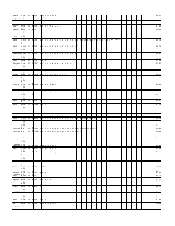|  | EET                                                                                                                                                                                                                                                                                                                                                                                          |       |          |                                                                |          |  |  |  |  |  |  |  |  |  |                                                                                            |  |
|--|----------------------------------------------------------------------------------------------------------------------------------------------------------------------------------------------------------------------------------------------------------------------------------------------------------------------------------------------------------------------------------------------|-------|----------|----------------------------------------------------------------|----------|--|--|--|--|--|--|--|--|--|--------------------------------------------------------------------------------------------|--|
|  | $\equiv$                                                                                                                                                                                                                                                                                                                                                                                     | ♦     |          |                                                                |          |  |  |  |  |  |  |  |  |  |                                                                                            |  |
|  | $\frac{1}{2} \left( \frac{1}{2} \frac{1}{2} \frac{1}{2} \frac{1}{2} \frac{1}{2} \frac{1}{2} \frac{1}{2} \frac{1}{2} \frac{1}{2} \frac{1}{2} \frac{1}{2} \frac{1}{2} \frac{1}{2} \frac{1}{2} \frac{1}{2} \frac{1}{2} \frac{1}{2} \frac{1}{2} \frac{1}{2} \frac{1}{2} \frac{1}{2} \frac{1}{2} \frac{1}{2} \frac{1}{2} \frac{1}{2} \frac{1}{2} \frac{1}{2} \frac{1}{2} \frac{1}{2} \frac{1}{2}$ |       |          |                                                                |          |  |  |  |  |  |  |  |  |  | ┍                                                                                          |  |
|  |                                                                                                                                                                                                                                                                                                                                                                                              |       |          |                                                                |          |  |  |  |  |  |  |  |  |  |                                                                                            |  |
|  |                                                                                                                                                                                                                                                                                                                                                                                              |       |          |                                                                |          |  |  |  |  |  |  |  |  |  |                                                                                            |  |
|  |                                                                                                                                                                                                                                                                                                                                                                                              |       |          |                                                                |          |  |  |  |  |  |  |  |  |  |                                                                                            |  |
|  |                                                                                                                                                                                                                                                                                                                                                                                              |       |          |                                                                |          |  |  |  |  |  |  |  |  |  |                                                                                            |  |
|  |                                                                                                                                                                                                                                                                                                                                                                                              |       |          |                                                                |          |  |  |  |  |  |  |  |  |  |                                                                                            |  |
|  |                                                                                                                                                                                                                                                                                                                                                                                              |       |          |                                                                |          |  |  |  |  |  |  |  |  |  |                                                                                            |  |
|  | W                                                                                                                                                                                                                                                                                                                                                                                            |       |          |                                                                |          |  |  |  |  |  |  |  |  |  |                                                                                            |  |
|  | ii<br>I                                                                                                                                                                                                                                                                                                                                                                                      |       |          |                                                                |          |  |  |  |  |  |  |  |  |  |                                                                                            |  |
|  | $\frac{1}{2} \sum_{i=1}^n \frac{1}{2} \sum_{j=1}^n \frac{1}{2} \sum_{j=1}^n \frac{1}{2} \sum_{j=1}^n \frac{1}{2} \sum_{j=1}^n \frac{1}{2} \sum_{j=1}^n \frac{1}{2} \sum_{j=1}^n \frac{1}{2} \sum_{j=1}^n \frac{1}{2} \sum_{j=1}^n \frac{1}{2} \sum_{j=1}^n \frac{1}{2} \sum_{j=1}^n \frac{1}{2} \sum_{j=1}^n \frac{1}{2} \sum_{j=1}^n \frac{1}{2} \sum_{j=$                                  | Fer   |          |                                                                |          |  |  |  |  |  |  |  |  |  |                                                                                            |  |
|  |                                                                                                                                                                                                                                                                                                                                                                                              |       |          |                                                                |          |  |  |  |  |  |  |  |  |  |                                                                                            |  |
|  | <b>Talling Sections</b>                                                                                                                                                                                                                                                                                                                                                                      |       |          |                                                                |          |  |  |  |  |  |  |  |  |  |                                                                                            |  |
|  | I                                                                                                                                                                                                                                                                                                                                                                                            |       |          |                                                                |          |  |  |  |  |  |  |  |  |  |                                                                                            |  |
|  |                                                                                                                                                                                                                                                                                                                                                                                              | 医手手骨  |          |                                                                |          |  |  |  |  |  |  |  |  |  |                                                                                            |  |
|  | <del>ile 1</del>                                                                                                                                                                                                                                                                                                                                                                             |       |          |                                                                |          |  |  |  |  |  |  |  |  |  |                                                                                            |  |
|  |                                                                                                                                                                                                                                                                                                                                                                                              |       |          |                                                                |          |  |  |  |  |  |  |  |  |  |                                                                                            |  |
|  | ж.<br>۳Ē                                                                                                                                                                                                                                                                                                                                                                                     |       |          |                                                                |          |  |  |  |  |  |  |  |  |  |                                                                                            |  |
|  | $\equiv \sqrt{2\pi}$<br><u>т.</u>                                                                                                                                                                                                                                                                                                                                                            | $  -$ |          |                                                                |          |  |  |  |  |  |  |  |  |  |                                                                                            |  |
|  |                                                                                                                                                                                                                                                                                                                                                                                              |       |          |                                                                |          |  |  |  |  |  |  |  |  |  |                                                                                            |  |
|  |                                                                                                                                                                                                                                                                                                                                                                                              |       |          |                                                                |          |  |  |  |  |  |  |  |  |  |                                                                                            |  |
|  |                                                                                                                                                                                                                                                                                                                                                                                              |       |          |                                                                |          |  |  |  |  |  |  |  |  |  |                                                                                            |  |
|  |                                                                                                                                                                                                                                                                                                                                                                                              |       |          |                                                                |          |  |  |  |  |  |  |  |  |  |                                                                                            |  |
|  |                                                                                                                                                                                                                                                                                                                                                                                              |       |          |                                                                |          |  |  |  |  |  |  |  |  |  |                                                                                            |  |
|  |                                                                                                                                                                                                                                                                                                                                                                                              |       |          |                                                                |          |  |  |  |  |  |  |  |  |  |                                                                                            |  |
|  |                                                                                                                                                                                                                                                                                                                                                                                              |       | *** **** | 90 - Paranjakangan<br>90 - Paranjakangan<br>90 - Paranjakangan | -an anno |  |  |  |  |  |  |  |  |  | 1999 - 1999 - 1999<br>1999 - 1999 - 1999 - 1999 - 1999<br>1999 - 1999 - 1999 - 1999 - 1999 |  |